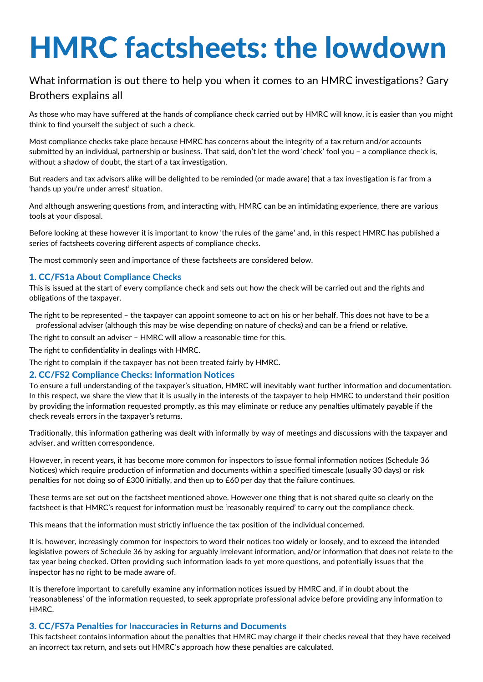# HMRC factsheets: the lowdown

## What information is out there to help you when it comes to an HMRC investigations? Gary Brothers explains all

As those who may have suffered at the hands of compliance check carried out by HMRC will know, it is easier than you might think to find yourself the subject of such a check.

Most compliance checks take place because HMRC has concerns about the integrity of a tax return and/or accounts submitted by an individual, partnership or business. That said, don't let the word 'check' fool you – a compliance check is, without a shadow of doubt, the start of a tax investigation.

But readers and tax advisors alike will be delighted to be reminded (or made aware) that a tax investigation is far from a 'hands up you're under arrest' situation.

And although answering questions from, and interacting with, HMRC can be an intimidating experience, there are various tools at your disposal.

Before looking at these however it is important to know 'the rules of the game' and, in this respect HMRC has published a series of factsheets covering different aspects of compliance checks.

The most commonly seen and importance of these factsheets are considered below.

### 1. CC/FS1a About Compliance Checks

This is issued at the start of every compliance check and sets out how the check will be carried out and the rights and obligations of the taxpayer.

The right to be represented – the taxpayer can appoint someone to act on his or her behalf. This does not have to be a professional adviser (although this may be wise depending on nature of checks) and can be a friend or relative.

The right to consult an adviser – HMRC will allow a reasonable time for this.

The right to confidentiality in dealings with HMRC.

The right to complain if the taxpayer has not been treated fairly by HMRC.

#### 2. CC/FS2 Compliance Checks: Information Notices

To ensure a full understanding of the taxpayer's situation, HMRC will inevitably want further information and documentation. In this respect, we share the view that it is usually in the interests of the taxpayer to help HMRC to understand their position by providing the information requested promptly, as this may eliminate or reduce any penalties ultimately payable if the check reveals errors in the taxpayer's returns.

Traditionally, this information gathering was dealt with informally by way of meetings and discussions with the taxpayer and adviser, and written correspondence.

However, in recent years, it has become more common for inspectors to issue formal information notices (Schedule 36 Notices) which require production of information and documents within a specified timescale (usually 30 days) or risk penalties for not doing so of £300 initially, and then up to £60 per day that the failure continues.

These terms are set out on the factsheet mentioned above. However one thing that is not shared quite so clearly on the factsheet is that HMRC's request for information must be 'reasonably required' to carry out the compliance check.

This means that the information must strictly influence the tax position of the individual concerned.

It is, however, increasingly common for inspectors to word their notices too widely or loosely, and to exceed the intended legislative powers of Schedule 36 by asking for arguably irrelevant information, and/or information that does not relate to the tax year being checked. Often providing such information leads to yet more questions, and potentially issues that the inspector has no right to be made aware of.

It is therefore important to carefully examine any information notices issued by HMRC and, if in doubt about the 'reasonableness' of the information requested, to seek appropriate professional advice before providing any information to HMRC.

#### 3. CC/FS7a Penalties for Inaccuracies in Returns and Documents

This factsheet contains information about the penalties that HMRC may charge if their checks reveal that they have received an incorrect tax return, and sets out HMRC's approach how these penalties are calculated.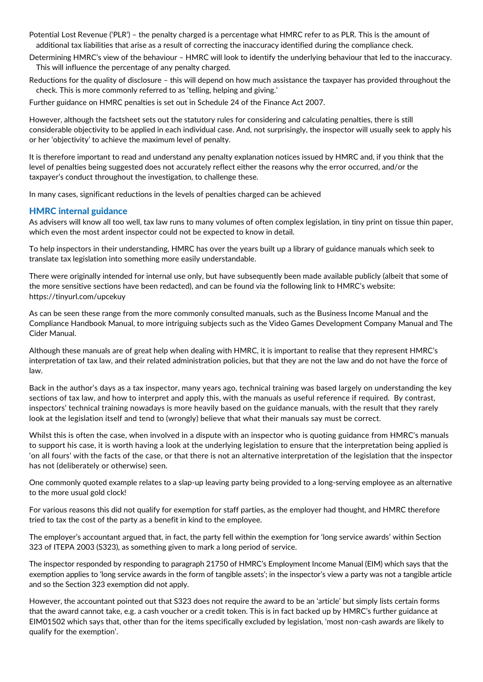Potential Lost Revenue ('PLR') – the penalty charged is a percentage what HMRC refer to as PLR. This is the amount of additional tax liabilities that arise as a result of correcting the inaccuracy identified during the compliance check.

Determining HMRC's view of the behaviour – HMRC will look to identify the underlying behaviour that led to the inaccuracy. This will influence the percentage of any penalty charged.

Reductions for the quality of disclosure – this will depend on how much assistance the taxpayer has provided throughout the check. This is more commonly referred to as 'telling, helping and giving.'

Further guidance on HMRC penalties is set out in Schedule 24 of the Finance Act 2007.

However, although the factsheet sets out the statutory rules for considering and calculating penalties, there is still considerable objectivity to be applied in each individual case. And, not surprisingly, the inspector will usually seek to apply his or her 'objectivity' to achieve the maximum level of penalty.

It is therefore important to read and understand any penalty explanation notices issued by HMRC and, if you think that the level of penalties being suggested does not accurately reflect either the reasons why the error occurred, and/or the taxpayer's conduct throughout the investigation, to challenge these.

In many cases, significant reductions in the levels of penalties charged can be achieved

#### HMRC internal guidance

As advisers will know all too well, tax law runs to many volumes of often complex legislation, in tiny print on tissue thin paper, which even the most ardent inspector could not be expected to know in detail.

To help inspectors in their understanding, HMRC has over the years built up a library of guidance manuals which seek to translate tax legislation into something more easily understandable.

There were originally intended for internal use only, but have subsequently been made available publicly (albeit that some of the more sensitive sections have been redacted), and can be found via the following link to HMRC's website: https://tinyurl.com/upcekuy

As can be seen these range from the more commonly consulted manuals, such as the Business Income Manual and the Compliance Handbook Manual, to more intriguing subjects such as the Video Games Development Company Manual and The Cider Manual.

Although these manuals are of great help when dealing with HMRC, it is important to realise that they represent HMRC's interpretation of tax law, and their related administration policies, but that they are not the law and do not have the force of law.

Back in the author's days as a tax inspector, many years ago, technical training was based largely on understanding the key sections of tax law, and how to interpret and apply this, with the manuals as useful reference if required. By contrast, inspectors' technical training nowadays is more heavily based on the guidance manuals, with the result that they rarely look at the legislation itself and tend to (wrongly) believe that what their manuals say must be correct.

Whilst this is often the case, when involved in a dispute with an inspector who is quoting guidance from HMRC's manuals to support his case, it is worth having a look at the underlying legislation to ensure that the interpretation being applied is 'on all fours' with the facts of the case, or that there is not an alternative interpretation of the legislation that the inspector has not (deliberately or otherwise) seen.

One commonly quoted example relates to a slap-up leaving party being provided to a long-serving employee as an alternative to the more usual gold clock!

For various reasons this did not qualify for exemption for staff parties, as the employer had thought, and HMRC therefore tried to tax the cost of the party as a benefit in kind to the employee.

The employer's accountant argued that, in fact, the party fell within the exemption for 'long service awards' within Section 323 of ITEPA 2003 (S323), as something given to mark a long period of service.

The inspector responded by responding to paragraph 21750 of HMRC's Employment Income Manual (EIM) which says that the exemption applies to 'long service awards in the form of tangible assets'; in the inspector's view a party was not a tangible article and so the Section 323 exemption did not apply.

However, the accountant pointed out that S323 does not require the award to be an 'article' but simply lists certain forms that the award cannot take, e.g. a cash voucher or a credit token. This is in fact backed up by HMRC's further guidance at EIM01502 which says that, other than for the items specifically excluded by legislation, 'most non-cash awards are likely to qualify for the exemption'.